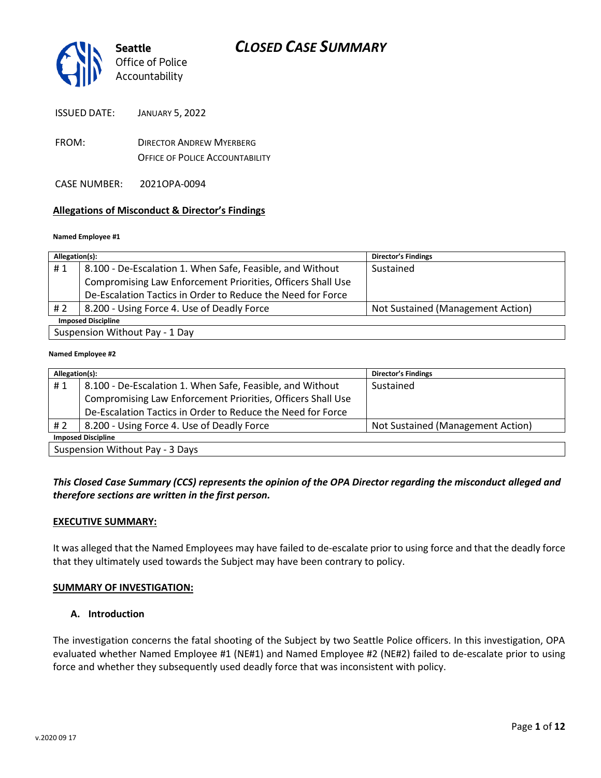

ISSUED DATE: JANUARY 5, 2022

FROM: DIRECTOR ANDREW MYERBERG OFFICE OF POLICE ACCOUNTABILITY

CASE NUMBER: 2021OPA-0094

#### **Allegations of Misconduct & Director's Findings**

#### **Named Employee #1**

| Allegation(s):                 |                                                             | <b>Director's Findings</b>        |  |
|--------------------------------|-------------------------------------------------------------|-----------------------------------|--|
| #1                             | 8.100 - De-Escalation 1. When Safe, Feasible, and Without   | Sustained                         |  |
|                                | Compromising Law Enforcement Priorities, Officers Shall Use |                                   |  |
|                                | De-Escalation Tactics in Order to Reduce the Need for Force |                                   |  |
| # 2                            | 8.200 - Using Force 4. Use of Deadly Force                  | Not Sustained (Management Action) |  |
| <b>Imposed Discipline</b>      |                                                             |                                   |  |
| Suspension Without Pay - 1 Day |                                                             |                                   |  |

#### **Named Employee #2**

| Allegation(s):                  |                                                             | <b>Director's Findings</b>        |  |  |
|---------------------------------|-------------------------------------------------------------|-----------------------------------|--|--|
| #1                              | 8.100 - De-Escalation 1. When Safe, Feasible, and Without   | Sustained                         |  |  |
|                                 | Compromising Law Enforcement Priorities, Officers Shall Use |                                   |  |  |
|                                 | De-Escalation Tactics in Order to Reduce the Need for Force |                                   |  |  |
| # 2                             | 8.200 - Using Force 4. Use of Deadly Force                  | Not Sustained (Management Action) |  |  |
| <b>Imposed Discipline</b>       |                                                             |                                   |  |  |
| Suchancion Without Day - 2 Dave |                                                             |                                   |  |  |

 $_1$  Suspension without Pay - 3 Days

### *This Closed Case Summary (CCS) represents the opinion of the OPA Director regarding the misconduct alleged and therefore sections are written in the first person.*

#### **EXECUTIVE SUMMARY:**

It was alleged that the Named Employees may have failed to de-escalate prior to using force and that the deadly force that they ultimately used towards the Subject may have been contrary to policy.

#### **SUMMARY OF INVESTIGATION:**

#### **A. Introduction**

The investigation concerns the fatal shooting of the Subject by two Seattle Police officers. In this investigation, OPA evaluated whether Named Employee #1 (NE#1) and Named Employee #2 (NE#2) failed to de-escalate prior to using force and whether they subsequently used deadly force that was inconsistent with policy.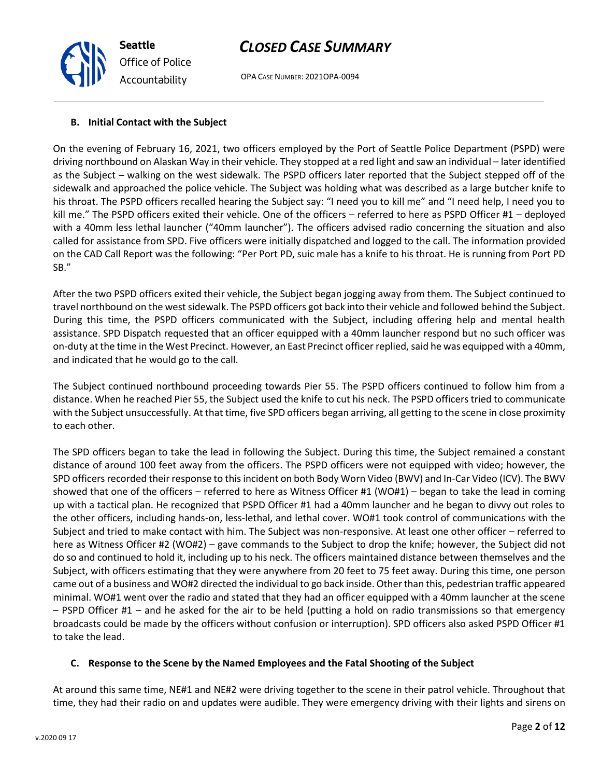OPA CASE NUMBER: 2021OPA-0094

### **B. Initial Contact with the Subject**

*Office of Police Accountability*

**Seattle**

On the evening of February 16, 2021, two officers employed by the Port of Seattle Police Department (PSPD) were driving northbound on Alaskan Way in their vehicle. They stopped at a red light and saw an individual – later identified as the Subject – walking on the west sidewalk. The PSPD officers later reported that the Subject stepped off of the sidewalk and approached the police vehicle. The Subject was holding what was described as a large butcher knife to his throat. The PSPD officers recalled hearing the Subject say: "I need you to kill me" and "I need help, I need you to kill me." The PSPD officers exited their vehicle. One of the officers – referred to here as PSPD Officer #1 – deployed with a 40mm less lethal launcher ("40mm launcher"). The officers advised radio concerning the situation and also called for assistance from SPD. Five officers were initially dispatched and logged to the call. The information provided on the CAD Call Report was the following: "Per Port PD, suic male has a knife to his throat. He is running from Port PD SB."

After the two PSPD officers exited their vehicle, the Subject began jogging away from them. The Subject continued to travel northbound on the west sidewalk. The PSPD officers got back into their vehicle and followed behind the Subject. During this time, the PSPD officers communicated with the Subject, including offering help and mental health assistance. SPD Dispatch requested that an officer equipped with a 40mm launcher respond but no such officer was on-duty at the time in the West Precinct. However, an East Precinct officer replied, said he was equipped with a 40mm, and indicated that he would go to the call.

The Subject continued northbound proceeding towards Pier 55. The PSPD officers continued to follow him from a distance. When he reached Pier 55, the Subject used the knife to cut his neck. The PSPD officers tried to communicate with the Subject unsuccessfully. At that time, five SPD officers began arriving, all getting to the scene in close proximity to each other.

The SPD officers began to take the lead in following the Subject. During this time, the Subject remained a constant distance of around 100 feet away from the officers. The PSPD officers were not equipped with video; however, the SPD officers recorded their response to this incident on both Body Worn Video (BWV) and In-Car Video (ICV). The BWV showed that one of the officers – referred to here as Witness Officer #1 (WO#1) – began to take the lead in coming up with a tactical plan. He recognized that PSPD Officer #1 had a 40mm launcher and he began to divvy out roles to the other officers, including hands-on, less-lethal, and lethal cover. WO#1 took control of communications with the Subject and tried to make contact with him. The Subject was non-responsive. At least one other officer – referred to here as Witness Officer #2 (WO#2) – gave commands to the Subject to drop the knife; however, the Subject did not do so and continued to hold it, including up to his neck. The officers maintained distance between themselves and the Subject, with officers estimating that they were anywhere from 20 feet to 75 feet away. During this time, one person came out of a business and WO#2 directed the individual to go back inside. Other than this, pedestrian traffic appeared minimal. WO#1 went over the radio and stated that they had an officer equipped with a 40mm launcher at the scene – PSPD Officer #1 – and he asked for the air to be held (putting a hold on radio transmissions so that emergency broadcasts could be made by the officers without confusion or interruption). SPD officers also asked PSPD Officer #1 to take the lead.

### **C. Response to the Scene by the Named Employees and the Fatal Shooting of the Subject**

At around this same time, NE#1 and NE#2 were driving together to the scene in their patrol vehicle. Throughout that time, they had their radio on and updates were audible. They were emergency driving with their lights and sirens on

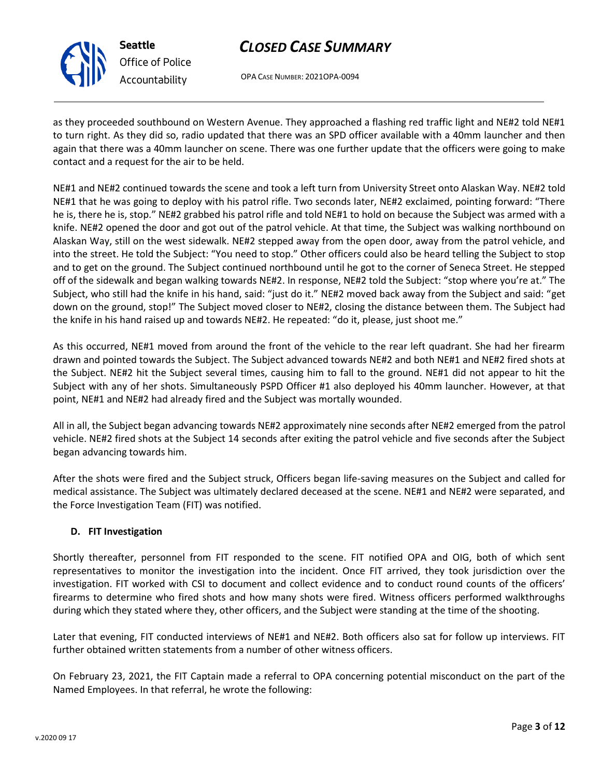

**Seattle** *Office of Police Accountability*

# *CLOSED CASE SUMMARY*

OPA CASE NUMBER: 2021OPA-0094

as they proceeded southbound on Western Avenue. They approached a flashing red traffic light and NE#2 told NE#1 to turn right. As they did so, radio updated that there was an SPD officer available with a 40mm launcher and then again that there was a 40mm launcher on scene. There was one further update that the officers were going to make contact and a request for the air to be held.

NE#1 and NE#2 continued towards the scene and took a left turn from University Street onto Alaskan Way. NE#2 told NE#1 that he was going to deploy with his patrol rifle. Two seconds later, NE#2 exclaimed, pointing forward: "There he is, there he is, stop." NE#2 grabbed his patrol rifle and told NE#1 to hold on because the Subject was armed with a knife. NE#2 opened the door and got out of the patrol vehicle. At that time, the Subject was walking northbound on Alaskan Way, still on the west sidewalk. NE#2 stepped away from the open door, away from the patrol vehicle, and into the street. He told the Subject: "You need to stop." Other officers could also be heard telling the Subject to stop and to get on the ground. The Subject continued northbound until he got to the corner of Seneca Street. He stepped off of the sidewalk and began walking towards NE#2. In response, NE#2 told the Subject: "stop where you're at." The Subject, who still had the knife in his hand, said: "just do it." NE#2 moved back away from the Subject and said: "get down on the ground, stop!" The Subject moved closer to NE#2, closing the distance between them. The Subject had the knife in his hand raised up and towards NE#2. He repeated: "do it, please, just shoot me."

As this occurred, NE#1 moved from around the front of the vehicle to the rear left quadrant. She had her firearm drawn and pointed towards the Subject. The Subject advanced towards NE#2 and both NE#1 and NE#2 fired shots at the Subject. NE#2 hit the Subject several times, causing him to fall to the ground. NE#1 did not appear to hit the Subject with any of her shots. Simultaneously PSPD Officer #1 also deployed his 40mm launcher. However, at that point, NE#1 and NE#2 had already fired and the Subject was mortally wounded.

All in all, the Subject began advancing towards NE#2 approximately nine seconds after NE#2 emerged from the patrol vehicle. NE#2 fired shots at the Subject 14 seconds after exiting the patrol vehicle and five seconds after the Subject began advancing towards him.

After the shots were fired and the Subject struck, Officers began life-saving measures on the Subject and called for medical assistance. The Subject was ultimately declared deceased at the scene. NE#1 and NE#2 were separated, and the Force Investigation Team (FIT) was notified.

## **D. FIT Investigation**

Shortly thereafter, personnel from FIT responded to the scene. FIT notified OPA and OIG, both of which sent representatives to monitor the investigation into the incident. Once FIT arrived, they took jurisdiction over the investigation. FIT worked with CSI to document and collect evidence and to conduct round counts of the officers' firearms to determine who fired shots and how many shots were fired. Witness officers performed walkthroughs during which they stated where they, other officers, and the Subject were standing at the time of the shooting.

Later that evening, FIT conducted interviews of NE#1 and NE#2. Both officers also sat for follow up interviews. FIT further obtained written statements from a number of other witness officers.

On February 23, 2021, the FIT Captain made a referral to OPA concerning potential misconduct on the part of the Named Employees. In that referral, he wrote the following: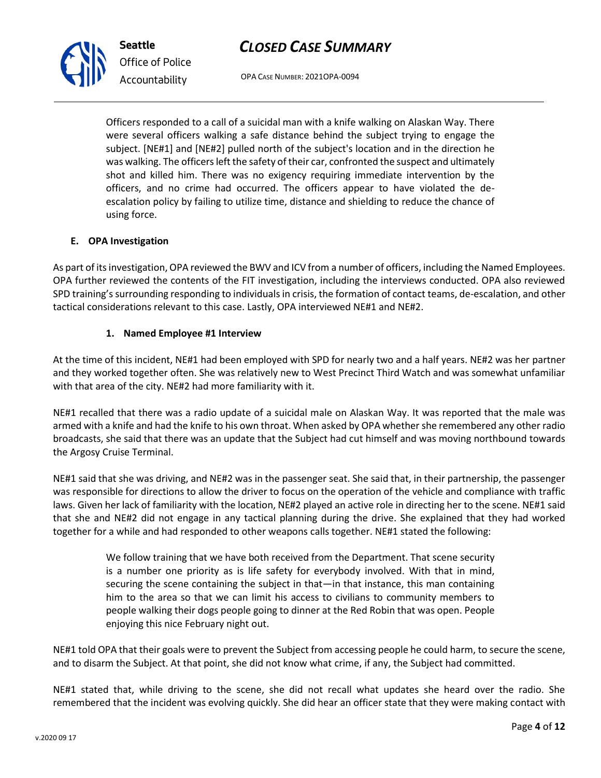OPA CASE NUMBER: 2021OPA-0094

Officers responded to a call of a suicidal man with a knife walking on Alaskan Way. There were several officers walking a safe distance behind the subject trying to engage the subject. [NE#1] and [NE#2] pulled north of the subject's location and in the direction he was walking. The officers left the safety of their car, confronted the suspect and ultimately shot and killed him. There was no exigency requiring immediate intervention by the officers, and no crime had occurred. The officers appear to have violated the deescalation policy by failing to utilize time, distance and shielding to reduce the chance of using force.

#### **E. OPA Investigation**

As part of its investigation, OPA reviewed the BWV and ICV from a number of officers, including the Named Employees. OPA further reviewed the contents of the FIT investigation, including the interviews conducted. OPA also reviewed SPD training's surrounding responding to individuals in crisis, the formation of contact teams, de-escalation, and other tactical considerations relevant to this case. Lastly, OPA interviewed NE#1 and NE#2.

#### **1. Named Employee #1 Interview**

At the time of this incident, NE#1 had been employed with SPD for nearly two and a half years. NE#2 was her partner and they worked together often. She was relatively new to West Precinct Third Watch and was somewhat unfamiliar with that area of the city. NE#2 had more familiarity with it.

NE#1 recalled that there was a radio update of a suicidal male on Alaskan Way. It was reported that the male was armed with a knife and had the knife to his own throat. When asked by OPA whether she remembered any other radio broadcasts, she said that there was an update that the Subject had cut himself and was moving northbound towards the Argosy Cruise Terminal.

NE#1 said that she was driving, and NE#2 was in the passenger seat. She said that, in their partnership, the passenger was responsible for directions to allow the driver to focus on the operation of the vehicle and compliance with traffic laws. Given her lack of familiarity with the location, NE#2 played an active role in directing her to the scene. NE#1 said that she and NE#2 did not engage in any tactical planning during the drive. She explained that they had worked together for a while and had responded to other weapons calls together. NE#1 stated the following:

> We follow training that we have both received from the Department. That scene security is a number one priority as is life safety for everybody involved. With that in mind, securing the scene containing the subject in that—in that instance, this man containing him to the area so that we can limit his access to civilians to community members to people walking their dogs people going to dinner at the Red Robin that was open. People enjoying this nice February night out.

NE#1 told OPA that their goals were to prevent the Subject from accessing people he could harm, to secure the scene, and to disarm the Subject. At that point, she did not know what crime, if any, the Subject had committed.

NE#1 stated that, while driving to the scene, she did not recall what updates she heard over the radio. She remembered that the incident was evolving quickly. She did hear an officer state that they were making contact with



**Seattle** *Office of Police Accountability*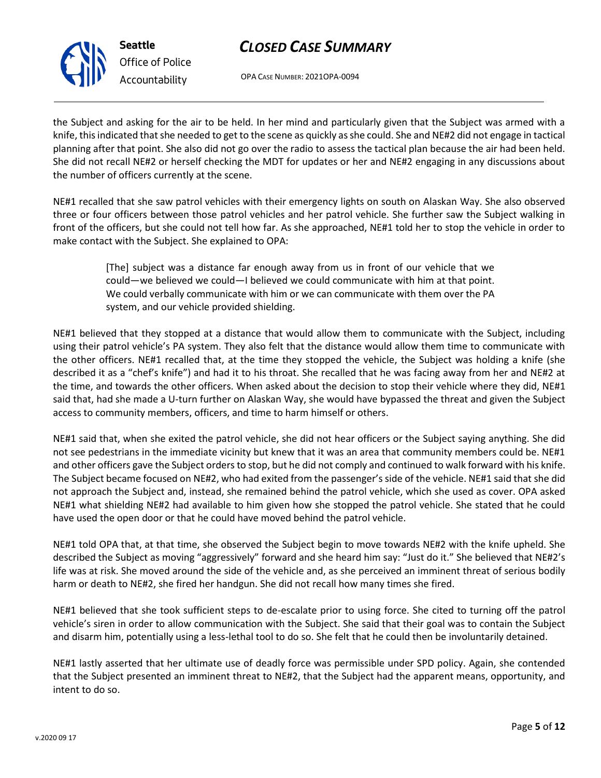

*Office of Police Accountability*

OPA CASE NUMBER: 2021OPA-0094

the Subject and asking for the air to be held. In her mind and particularly given that the Subject was armed with a knife, this indicated that she needed to get to the scene as quickly as she could. She and NE#2 did not engage in tactical planning after that point. She also did not go over the radio to assess the tactical plan because the air had been held. She did not recall NE#2 or herself checking the MDT for updates or her and NE#2 engaging in any discussions about the number of officers currently at the scene.

NE#1 recalled that she saw patrol vehicles with their emergency lights on south on Alaskan Way. She also observed three or four officers between those patrol vehicles and her patrol vehicle. She further saw the Subject walking in front of the officers, but she could not tell how far. As she approached, NE#1 told her to stop the vehicle in order to make contact with the Subject. She explained to OPA:

> [The] subject was a distance far enough away from us in front of our vehicle that we could—we believed we could—I believed we could communicate with him at that point. We could verbally communicate with him or we can communicate with them over the PA system, and our vehicle provided shielding.

NE#1 believed that they stopped at a distance that would allow them to communicate with the Subject, including using their patrol vehicle's PA system. They also felt that the distance would allow them time to communicate with the other officers. NE#1 recalled that, at the time they stopped the vehicle, the Subject was holding a knife (she described it as a "chef's knife") and had it to his throat. She recalled that he was facing away from her and NE#2 at the time, and towards the other officers. When asked about the decision to stop their vehicle where they did, NE#1 said that, had she made a U-turn further on Alaskan Way, she would have bypassed the threat and given the Subject access to community members, officers, and time to harm himself or others.

NE#1 said that, when she exited the patrol vehicle, she did not hear officers or the Subject saying anything. She did not see pedestrians in the immediate vicinity but knew that it was an area that community members could be. NE#1 and other officers gave the Subject orders to stop, but he did not comply and continued to walk forward with his knife. The Subject became focused on NE#2, who had exited from the passenger's side of the vehicle. NE#1 said that she did not approach the Subject and, instead, she remained behind the patrol vehicle, which she used as cover. OPA asked NE#1 what shielding NE#2 had available to him given how she stopped the patrol vehicle. She stated that he could have used the open door or that he could have moved behind the patrol vehicle.

NE#1 told OPA that, at that time, she observed the Subject begin to move towards NE#2 with the knife upheld. She described the Subject as moving "aggressively" forward and she heard him say: "Just do it." She believed that NE#2's life was at risk. She moved around the side of the vehicle and, as she perceived an imminent threat of serious bodily harm or death to NE#2, she fired her handgun. She did not recall how many times she fired.

NE#1 believed that she took sufficient steps to de-escalate prior to using force. She cited to turning off the patrol vehicle's siren in order to allow communication with the Subject. She said that their goal was to contain the Subject and disarm him, potentially using a less-lethal tool to do so. She felt that he could then be involuntarily detained.

NE#1 lastly asserted that her ultimate use of deadly force was permissible under SPD policy. Again, she contended that the Subject presented an imminent threat to NE#2, that the Subject had the apparent means, opportunity, and intent to do so.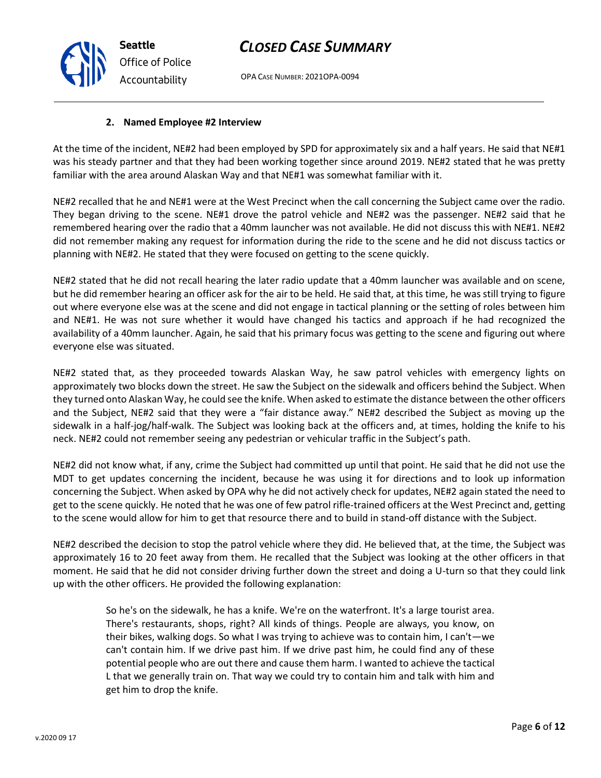OPA CASE NUMBER: 2021OPA-0094

## **2. Named Employee #2 Interview**

At the time of the incident, NE#2 had been employed by SPD for approximately six and a half years. He said that NE#1 was his steady partner and that they had been working together since around 2019. NE#2 stated that he was pretty familiar with the area around Alaskan Way and that NE#1 was somewhat familiar with it.

NE#2 recalled that he and NE#1 were at the West Precinct when the call concerning the Subject came over the radio. They began driving to the scene. NE#1 drove the patrol vehicle and NE#2 was the passenger. NE#2 said that he remembered hearing over the radio that a 40mm launcher was not available. He did not discuss this with NE#1. NE#2 did not remember making any request for information during the ride to the scene and he did not discuss tactics or planning with NE#2. He stated that they were focused on getting to the scene quickly.

NE#2 stated that he did not recall hearing the later radio update that a 40mm launcher was available and on scene, but he did remember hearing an officer ask for the air to be held. He said that, at this time, he was still trying to figure out where everyone else was at the scene and did not engage in tactical planning or the setting of roles between him and NE#1. He was not sure whether it would have changed his tactics and approach if he had recognized the availability of a 40mm launcher. Again, he said that his primary focus was getting to the scene and figuring out where everyone else was situated.

NE#2 stated that, as they proceeded towards Alaskan Way, he saw patrol vehicles with emergency lights on approximately two blocks down the street. He saw the Subject on the sidewalk and officers behind the Subject. When they turned onto Alaskan Way, he could see the knife. When asked to estimate the distance between the other officers and the Subject, NE#2 said that they were a "fair distance away." NE#2 described the Subject as moving up the sidewalk in a half-jog/half-walk. The Subject was looking back at the officers and, at times, holding the knife to his neck. NE#2 could not remember seeing any pedestrian or vehicular traffic in the Subject's path.

NE#2 did not know what, if any, crime the Subject had committed up until that point. He said that he did not use the MDT to get updates concerning the incident, because he was using it for directions and to look up information concerning the Subject. When asked by OPA why he did not actively check for updates, NE#2 again stated the need to get to the scene quickly. He noted that he was one of few patrol rifle-trained officers at the West Precinct and, getting to the scene would allow for him to get that resource there and to build in stand-off distance with the Subject.

NE#2 described the decision to stop the patrol vehicle where they did. He believed that, at the time, the Subject was approximately 16 to 20 feet away from them. He recalled that the Subject was looking at the other officers in that moment. He said that he did not consider driving further down the street and doing a U-turn so that they could link up with the other officers. He provided the following explanation:

> So he's on the sidewalk, he has a knife. We're on the waterfront. It's a large tourist area. There's restaurants, shops, right? All kinds of things. People are always, you know, on their bikes, walking dogs. So what I was trying to achieve was to contain him, I can't—we can't contain him. If we drive past him. If we drive past him, he could find any of these potential people who are out there and cause them harm. I wanted to achieve the tactical L that we generally train on. That way we could try to contain him and talk with him and get him to drop the knife.



**Seattle**

*Office of Police Accountability*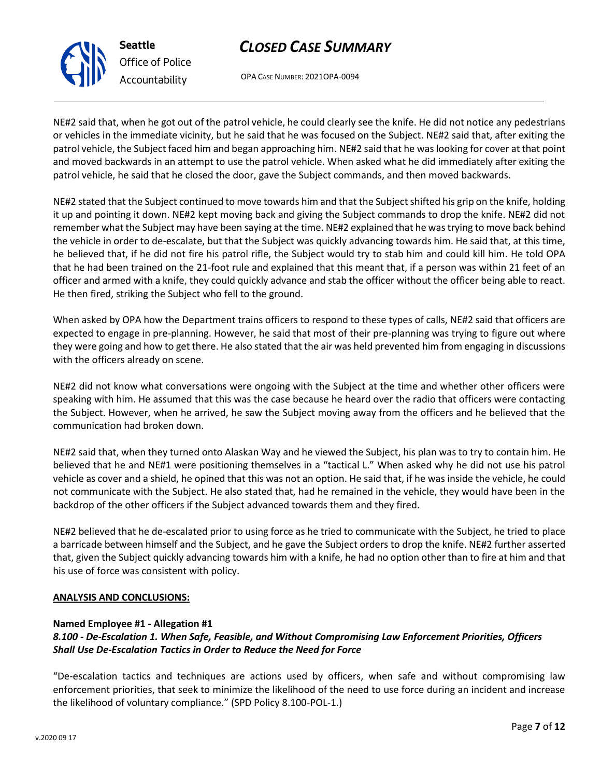# expected to engage in pre-planning. However, he said that most of their pre-planning was trying to figure out where they were going and how to get there. He also stated that the air was held prevented him from engaging in discussions with the officers already on scene.

He then fired, striking the Subject who fell to the ground.

NE#2 did not know what conversations were ongoing with the Subject at the time and whether other officers were speaking with him. He assumed that this was the case because he heard over the radio that officers were contacting the Subject. However, when he arrived, he saw the Subject moving away from the officers and he believed that the communication had broken down.

NE#2 said that, when they turned onto Alaskan Way and he viewed the Subject, his plan was to try to contain him. He believed that he and NE#1 were positioning themselves in a "tactical L." When asked why he did not use his patrol vehicle as cover and a shield, he opined that this was not an option. He said that, if he was inside the vehicle, he could not communicate with the Subject. He also stated that, had he remained in the vehicle, they would have been in the backdrop of the other officers if the Subject advanced towards them and they fired.

NE#2 believed that he de-escalated prior to using force as he tried to communicate with the Subject, he tried to place a barricade between himself and the Subject, and he gave the Subject orders to drop the knife. NE#2 further asserted that, given the Subject quickly advancing towards him with a knife, he had no option other than to fire at him and that his use of force was consistent with policy.

#### **ANALYSIS AND CONCLUSIONS:**

#### **Named Employee #1 - Allegation #1**

**Seattle**

*Office of Police*

*Accountability*

### *8.100 - De-Escalation 1. When Safe, Feasible, and Without Compromising Law Enforcement Priorities, Officers Shall Use De-Escalation Tactics in Order to Reduce the Need for Force*

"De-escalation tactics and techniques are actions used by officers, when safe and without compromising law enforcement priorities, that seek to minimize the likelihood of the need to use force during an incident and increase the likelihood of voluntary compliance." (SPD Policy 8.100-POL-1.)

# *CLOSED CASE SUMMARY*

OPA CASE NUMBER: 2021OPA-0094

NE#2 said that, when he got out of the patrol vehicle, he could clearly see the knife. He did not notice any pedestrians or vehicles in the immediate vicinity, but he said that he was focused on the Subject. NE#2 said that, after exiting the patrol vehicle, the Subject faced him and began approaching him. NE#2 said that he was looking for cover at that point

and moved backwards in an attempt to use the patrol vehicle. When asked what he did immediately after exiting the patrol vehicle, he said that he closed the door, gave the Subject commands, and then moved backwards. NE#2 stated that the Subject continued to move towards him and that the Subject shifted his grip on the knife, holding

it up and pointing it down. NE#2 kept moving back and giving the Subject commands to drop the knife. NE#2 did not remember what the Subject may have been saying at the time. NE#2 explained that he was trying to move back behind the vehicle in order to de-escalate, but that the Subject was quickly advancing towards him. He said that, at this time, he believed that, if he did not fire his patrol rifle, the Subject would try to stab him and could kill him. He told OPA that he had been trained on the 21-foot rule and explained that this meant that, if a person was within 21 feet of an

officer and armed with a knife, they could quickly advance and stab the officer without the officer being able to react.

When asked by OPA how the Department trains officers to respond to these types of calls, NE#2 said that officers are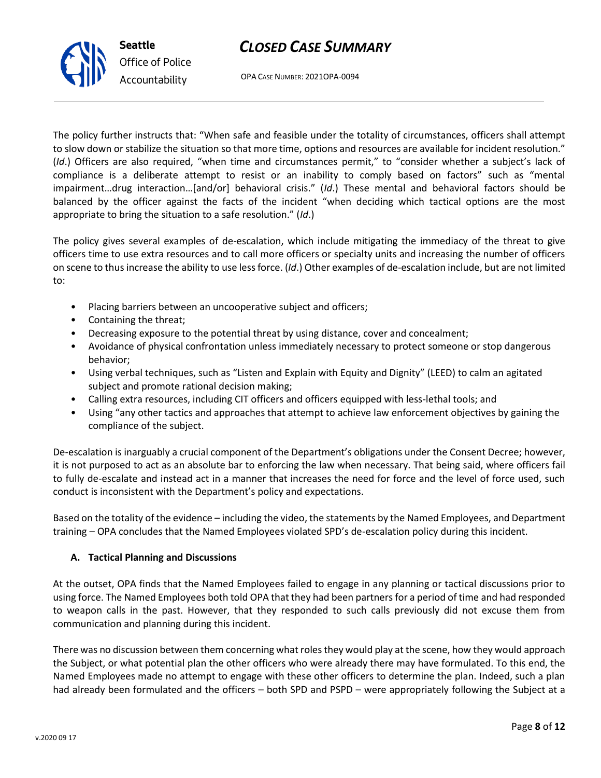

OPA CASE NUMBER: 2021OPA-0094

The policy further instructs that: "When safe and feasible under the totality of circumstances, officers shall attempt to slow down or stabilize the situation so that more time, options and resources are available for incident resolution." (*Id*.) Officers are also required, "when time and circumstances permit," to "consider whether a subject's lack of compliance is a deliberate attempt to resist or an inability to comply based on factors" such as "mental impairment…drug interaction…[and/or] behavioral crisis." (*Id*.) These mental and behavioral factors should be balanced by the officer against the facts of the incident "when deciding which tactical options are the most appropriate to bring the situation to a safe resolution." (*Id*.)

The policy gives several examples of de-escalation, which include mitigating the immediacy of the threat to give officers time to use extra resources and to call more officers or specialty units and increasing the number of officers on scene to thus increase the ability to use less force. (*Id*.) Other examples of de-escalation include, but are not limited to:

- Placing barriers between an uncooperative subject and officers;
- Containing the threat;
- Decreasing exposure to the potential threat by using distance, cover and concealment;
- Avoidance of physical confrontation unless immediately necessary to protect someone or stop dangerous behavior;
- Using verbal techniques, such as "Listen and Explain with Equity and Dignity" (LEED) to calm an agitated subject and promote rational decision making;
- Calling extra resources, including CIT officers and officers equipped with less-lethal tools; and
- Using "any other tactics and approaches that attempt to achieve law enforcement objectives by gaining the compliance of the subject.

De-escalation is inarguably a crucial component of the Department's obligations under the Consent Decree; however, it is not purposed to act as an absolute bar to enforcing the law when necessary. That being said, where officers fail to fully de-escalate and instead act in a manner that increases the need for force and the level of force used, such conduct is inconsistent with the Department's policy and expectations.

Based on the totality of the evidence – including the video, the statements by the Named Employees, and Department training – OPA concludes that the Named Employees violated SPD's de-escalation policy during this incident.

### **A. Tactical Planning and Discussions**

At the outset, OPA finds that the Named Employees failed to engage in any planning or tactical discussions prior to using force. The Named Employees both told OPA that they had been partners for a period of time and had responded to weapon calls in the past. However, that they responded to such calls previously did not excuse them from communication and planning during this incident.

There was no discussion between them concerning what roles they would play at the scene, how they would approach the Subject, or what potential plan the other officers who were already there may have formulated. To this end, the Named Employees made no attempt to engage with these other officers to determine the plan. Indeed, such a plan had already been formulated and the officers – both SPD and PSPD – were appropriately following the Subject at a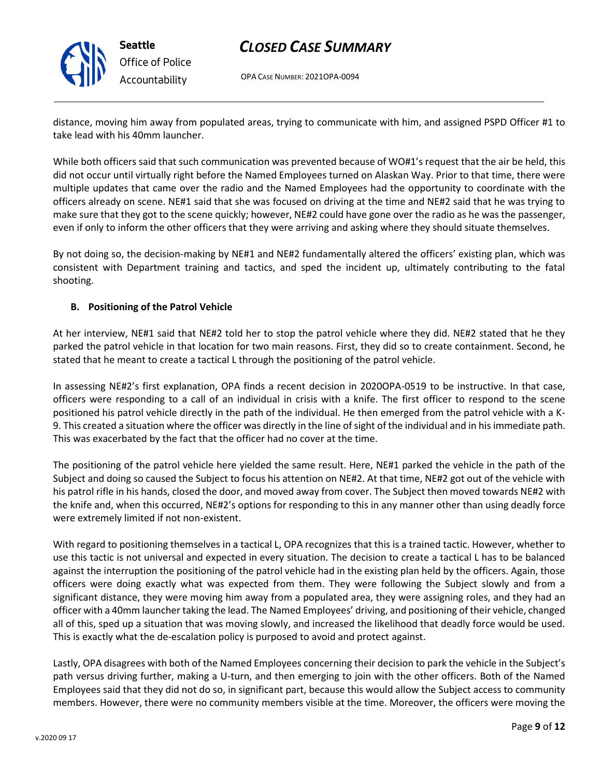

OPA CASE NUMBER: 2021OPA-0094

distance, moving him away from populated areas, trying to communicate with him, and assigned PSPD Officer #1 to take lead with his 40mm launcher.

While both officers said that such communication was prevented because of WO#1's request that the air be held, this did not occur until virtually right before the Named Employees turned on Alaskan Way. Prior to that time, there were multiple updates that came over the radio and the Named Employees had the opportunity to coordinate with the officers already on scene. NE#1 said that she was focused on driving at the time and NE#2 said that he was trying to make sure that they got to the scene quickly; however, NE#2 could have gone over the radio as he was the passenger, even if only to inform the other officers that they were arriving and asking where they should situate themselves.

By not doing so, the decision-making by NE#1 and NE#2 fundamentally altered the officers' existing plan, which was consistent with Department training and tactics, and sped the incident up, ultimately contributing to the fatal shooting.

### **B. Positioning of the Patrol Vehicle**

At her interview, NE#1 said that NE#2 told her to stop the patrol vehicle where they did. NE#2 stated that he they parked the patrol vehicle in that location for two main reasons. First, they did so to create containment. Second, he stated that he meant to create a tactical L through the positioning of the patrol vehicle.

In assessing NE#2's first explanation, OPA finds a recent decision in 2020OPA-0519 to be instructive. In that case, officers were responding to a call of an individual in crisis with a knife. The first officer to respond to the scene positioned his patrol vehicle directly in the path of the individual. He then emerged from the patrol vehicle with a K-9. This created a situation where the officer was directly in the line of sight of the individual and in his immediate path. This was exacerbated by the fact that the officer had no cover at the time.

The positioning of the patrol vehicle here yielded the same result. Here, NE#1 parked the vehicle in the path of the Subject and doing so caused the Subject to focus his attention on NE#2. At that time, NE#2 got out of the vehicle with his patrol rifle in his hands, closed the door, and moved away from cover. The Subject then moved towards NE#2 with the knife and, when this occurred, NE#2's options for responding to this in any manner other than using deadly force were extremely limited if not non-existent.

With regard to positioning themselves in a tactical L, OPA recognizes that this is a trained tactic. However, whether to use this tactic is not universal and expected in every situation. The decision to create a tactical L has to be balanced against the interruption the positioning of the patrol vehicle had in the existing plan held by the officers. Again, those officers were doing exactly what was expected from them. They were following the Subject slowly and from a significant distance, they were moving him away from a populated area, they were assigning roles, and they had an officer with a 40mm launcher taking the lead. The Named Employees' driving, and positioning of their vehicle, changed all of this, sped up a situation that was moving slowly, and increased the likelihood that deadly force would be used. This is exactly what the de-escalation policy is purposed to avoid and protect against.

Lastly, OPA disagrees with both of the Named Employees concerning their decision to park the vehicle in the Subject's path versus driving further, making a U-turn, and then emerging to join with the other officers. Both of the Named Employees said that they did not do so, in significant part, because this would allow the Subject access to community members. However, there were no community members visible at the time. Moreover, the officers were moving the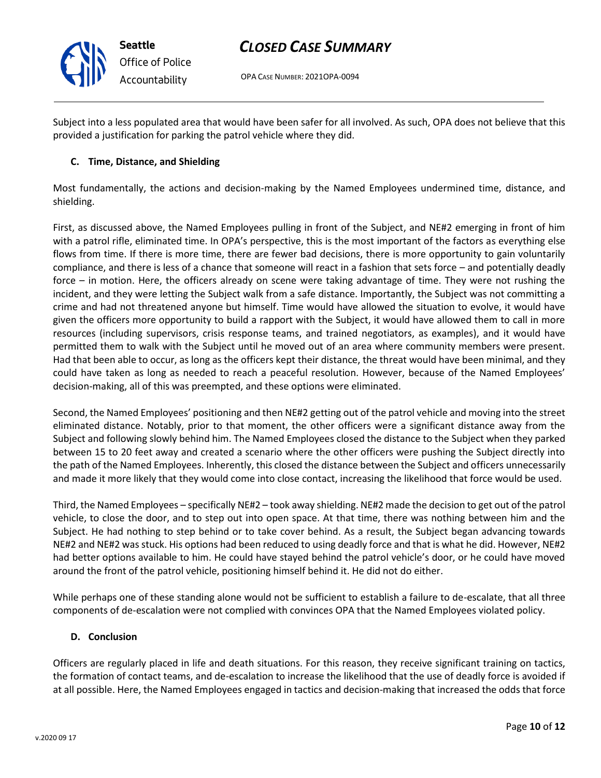

OPA CASE NUMBER: 2021OPA-0094

Subject into a less populated area that would have been safer for all involved. As such, OPA does not believe that this provided a justification for parking the patrol vehicle where they did.

### **C. Time, Distance, and Shielding**

Most fundamentally, the actions and decision-making by the Named Employees undermined time, distance, and shielding.

First, as discussed above, the Named Employees pulling in front of the Subject, and NE#2 emerging in front of him with a patrol rifle, eliminated time. In OPA's perspective, this is the most important of the factors as everything else flows from time. If there is more time, there are fewer bad decisions, there is more opportunity to gain voluntarily compliance, and there is less of a chance that someone will react in a fashion that sets force – and potentially deadly force – in motion. Here, the officers already on scene were taking advantage of time. They were not rushing the incident, and they were letting the Subject walk from a safe distance. Importantly, the Subject was not committing a crime and had not threatened anyone but himself. Time would have allowed the situation to evolve, it would have given the officers more opportunity to build a rapport with the Subject, it would have allowed them to call in more resources (including supervisors, crisis response teams, and trained negotiators, as examples), and it would have permitted them to walk with the Subject until he moved out of an area where community members were present. Had that been able to occur, as long as the officers kept their distance, the threat would have been minimal, and they could have taken as long as needed to reach a peaceful resolution. However, because of the Named Employees' decision-making, all of this was preempted, and these options were eliminated.

Second, the Named Employees' positioning and then NE#2 getting out of the patrol vehicle and moving into the street eliminated distance. Notably, prior to that moment, the other officers were a significant distance away from the Subject and following slowly behind him. The Named Employees closed the distance to the Subject when they parked between 15 to 20 feet away and created a scenario where the other officers were pushing the Subject directly into the path of the Named Employees. Inherently, this closed the distance between the Subject and officers unnecessarily and made it more likely that they would come into close contact, increasing the likelihood that force would be used.

Third, the Named Employees – specifically NE#2 – took away shielding. NE#2 made the decision to get out of the patrol vehicle, to close the door, and to step out into open space. At that time, there was nothing between him and the Subject. He had nothing to step behind or to take cover behind. As a result, the Subject began advancing towards NE#2 and NE#2 was stuck. His options had been reduced to using deadly force and that is what he did. However, NE#2 had better options available to him. He could have stayed behind the patrol vehicle's door, or he could have moved around the front of the patrol vehicle, positioning himself behind it. He did not do either.

While perhaps one of these standing alone would not be sufficient to establish a failure to de-escalate, that all three components of de-escalation were not complied with convinces OPA that the Named Employees violated policy.

### **D. Conclusion**

Officers are regularly placed in life and death situations. For this reason, they receive significant training on tactics, the formation of contact teams, and de-escalation to increase the likelihood that the use of deadly force is avoided if at all possible. Here, the Named Employees engaged in tactics and decision-making that increased the odds that force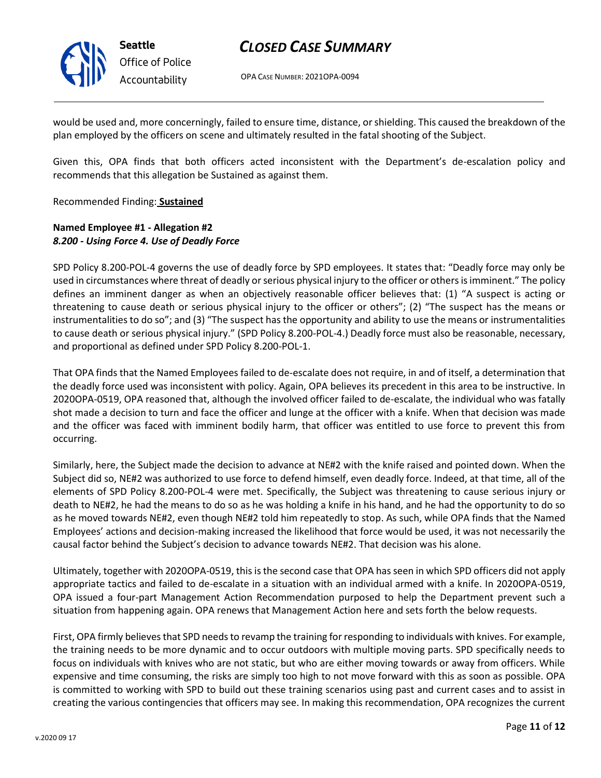

*Office of Police Accountability*

# *CLOSED CASE SUMMARY*

OPA CASE NUMBER: 2021OPA-0094

would be used and, more concerningly, failed to ensure time, distance, or shielding. This caused the breakdown of the plan employed by the officers on scene and ultimately resulted in the fatal shooting of the Subject.

Given this, OPA finds that both officers acted inconsistent with the Department's de-escalation policy and recommends that this allegation be Sustained as against them.

Recommended Finding: **Sustained**

### **Named Employee #1 - Allegation #2** *8.200 - Using Force 4. Use of Deadly Force*

SPD Policy 8.200-POL-4 governs the use of deadly force by SPD employees. It states that: "Deadly force may only be used in circumstances where threat of deadly or serious physical injury to the officer or others is imminent." The policy defines an imminent danger as when an objectively reasonable officer believes that: (1) "A suspect is acting or threatening to cause death or serious physical injury to the officer or others"; (2) "The suspect has the means or instrumentalities to do so"; and (3) "The suspect has the opportunity and ability to use the means or instrumentalities to cause death or serious physical injury." (SPD Policy 8.200-POL-4.) Deadly force must also be reasonable, necessary, and proportional as defined under SPD Policy 8.200-POL-1.

That OPA finds that the Named Employees failed to de-escalate does not require, in and of itself, a determination that the deadly force used was inconsistent with policy. Again, OPA believes its precedent in this area to be instructive. In 2020OPA-0519, OPA reasoned that, although the involved officer failed to de-escalate, the individual who was fatally shot made a decision to turn and face the officer and lunge at the officer with a knife. When that decision was made and the officer was faced with imminent bodily harm, that officer was entitled to use force to prevent this from occurring.

Similarly, here, the Subject made the decision to advance at NE#2 with the knife raised and pointed down. When the Subject did so, NE#2 was authorized to use force to defend himself, even deadly force. Indeed, at that time, all of the elements of SPD Policy 8.200-POL-4 were met. Specifically, the Subject was threatening to cause serious injury or death to NE#2, he had the means to do so as he was holding a knife in his hand, and he had the opportunity to do so as he moved towards NE#2, even though NE#2 told him repeatedly to stop. As such, while OPA finds that the Named Employees' actions and decision-making increased the likelihood that force would be used, it was not necessarily the causal factor behind the Subject's decision to advance towards NE#2. That decision was his alone.

Ultimately, together with 2020OPA-0519, this is the second case that OPA has seen in which SPD officers did not apply appropriate tactics and failed to de-escalate in a situation with an individual armed with a knife. In 2020OPA-0519, OPA issued a four-part Management Action Recommendation purposed to help the Department prevent such a situation from happening again. OPA renews that Management Action here and sets forth the below requests.

First, OPA firmly believes that SPD needs to revamp the training for responding to individuals with knives. For example, the training needs to be more dynamic and to occur outdoors with multiple moving parts. SPD specifically needs to focus on individuals with knives who are not static, but who are either moving towards or away from officers. While expensive and time consuming, the risks are simply too high to not move forward with this as soon as possible. OPA is committed to working with SPD to build out these training scenarios using past and current cases and to assist in creating the various contingencies that officers may see. In making this recommendation, OPA recognizes the current